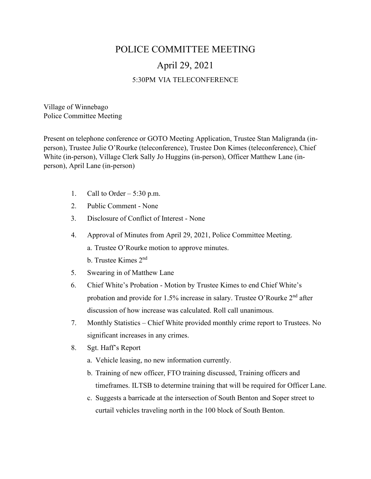## POLICE COMMITTEE MEETING April 29, 2021 5:30PM VIA TELECONFERENCE

Village of Winnebago Police Committee Meeting

Present on telephone conference or GOTO Meeting Application, Trustee Stan Maligranda (inperson), Trustee Julie O'Rourke (teleconference), Trustee Don Kimes (teleconference), Chief White (in-person), Village Clerk Sally Jo Huggins (in-person), Officer Matthew Lane (inperson), April Lane (in-person)

- 1. Call to Order  $-5:30$  p.m.
- 2. Public Comment None
- 3. Disclosure of Conflict of Interest None
- 4. Approval of Minutes from April 29, 2021, Police Committee Meeting. a. Trustee O'Rourke motion to approve minutes.
	- b. Trustee Kimes 2nd
- 5. Swearing in of Matthew Lane
- 6. Chief White's Probation Motion by Trustee Kimes to end Chief White's probation and provide for 1.5% increase in salary. Trustee O'Rourke 2nd after discussion of how increase was calculated. Roll call unanimous.
- 7. Monthly Statistics Chief White provided monthly crime report to Trustees. No significant increases in any crimes.
- 8. Sgt. Haff's Report
	- a. Vehicle leasing, no new information currently.
	- b. Training of new officer, FTO training discussed, Training officers and timeframes. ILTSB to determine training that will be required for Officer Lane.
	- c. Suggests a barricade at the intersection of South Benton and Soper street to curtail vehicles traveling north in the 100 block of South Benton.